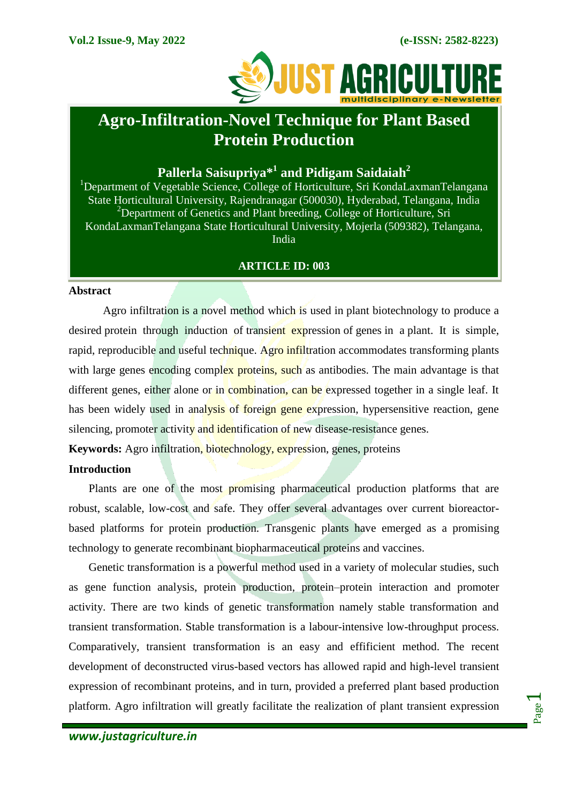

# **Agro-Infiltration-Novel Technique for Plant Based Protein Production**

# **Pallerla Saisupriya\*<sup>1</sup> and Pidigam Saidaiah<sup>2</sup>**

<sup>1</sup>Department of Vegetable Science, College of Horticulture, Sri KondaLaxmanTelangana State Horticultural University*,* Rajendranagar (500030), Hyderabad, Telangana, India <sup>2</sup>Department of Genetics and Plant breeding, College of Horticulture, Sri KondaLaxmanTelangana State Horticultural University*,* Mojerla (509382), Telangana, India

# **ARTICLE ID: 003**

#### **Abstract**

Agro infiltration is a novel method which is used in plant biotechnology to produce a desired protein through induction of transient expression of genes in a plant. It is simple, rapid, reproducible and useful technique. Agro infiltration accommodates transforming plants with large genes encoding complex proteins, such as antibodies. The main advantage is that different genes, either alone or in combination, can be expressed together in a single leaf. It has been widely used in analysis of foreign gene expression, hypersensitive reaction, gene silencing, promoter activity and identification of new disease-resistance genes.

**Keywords:** Agro infiltration, biotechnology, expression, genes, proteins

#### **Introduction**

Plants are one of the most promising pharmaceutical production platforms that are robust, scalable, low-cost and safe. They offer several advantages over current bioreactorbased platforms for protein production. Transgenic plants have emerged as a promising technology to generate recombinant biopharmaceutical proteins and vaccines.

Genetic transformation is a powerful method used in a variety of molecular studies, such as gene function analysis, protein production, protein–protein interaction and promoter activity. There are two kinds of genetic transformation namely stable transformation and transient transformation. Stable transformation is a labour-intensive low-throughput process. Comparatively, transient transformation is an easy and effificient method. The recent development of deconstructed virus-based vectors has allowed rapid and high-level transient expression of recombinant proteins, and in turn, provided a preferred plant based production platform. Agro infiltration will greatly facilitate the realization of plant transient expression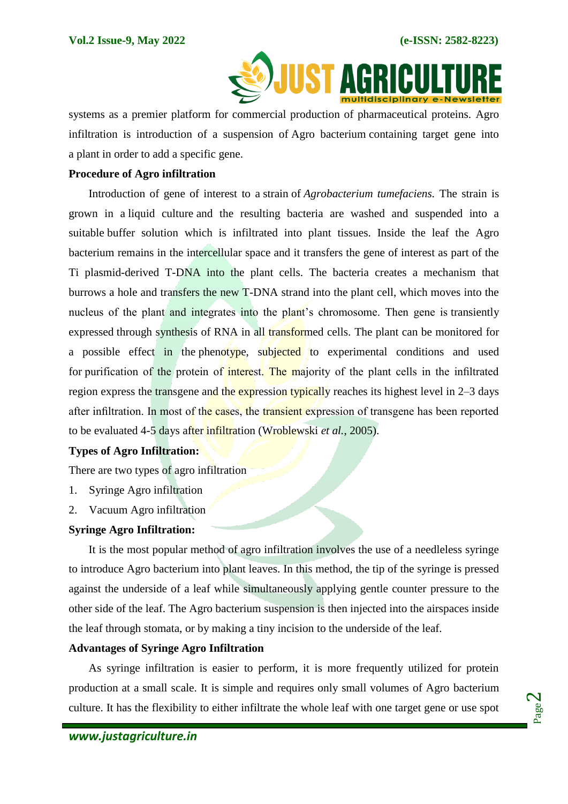

systems as a premier platform for commercial production of pharmaceutical proteins. Agro infiltration is introduction of a suspension of Agro bacterium containing target gene into a plant in order to add a specific gene.

#### **Procedure of Agro infiltration**

Introduction of gene of interest to a strain of *Agrobacterium tumefaciens.* The strain is grown in a liquid culture and the resulting bacteria are washed and suspended into a suitable buffer solution which is infiltrated into plant tissues. Inside the leaf the Agro bacterium remains in the intercellular space and it transfers the gene of interest as part of the Ti plasmid-derived T-DNA into the plant cells. The bacteria creates a mechanism that burrows a hole and transfers the new T-DNA strand into the plant cell, which moves into the nucleus of the plant and integrates into the plant's chromosome. Then gene is transiently expressed through synthesis of RNA in all transformed cells. The plant can be monitored for a possible effect in the phenotype, subjected to experimental conditions and used for purification of the protein of interest. The majority of the plant cells in the infiltrated region express the transgene and the expression typically reaches its highest level in 2–3 days after infiltration. In most of the cases, the transient expression of transgene has been reported to be evaluated 4-5 days after infiltration (Wroblewski *et al.*, 2005).

# **Types of Agro Infiltration:**

There are two types of agro infiltration

- 1. Syringe Agro infiltration
- 2. Vacuum Agro infiltration

#### **Syringe Agro Infiltration:**

It is the most popular method of agro infiltration involves the use of a needleless syringe to introduce Agro bacterium into plant leaves. In this method, the tip of the syringe is pressed against the underside of a leaf while simultaneously applying gentle counter pressure to the other side of the leaf. The Agro bacterium suspension is then injected into the airspaces inside the leaf through stomata, or by making a tiny incision to the underside of the leaf.

# **Advantages of Syringe Agro Infiltration**

As syringe infiltration is easier to perform, it is more frequently utilized for protein production at a small scale. It is simple and requires only small volumes of Agro bacterium culture. It has the flexibility to either infiltrate the whole leaf with one target gene or use spot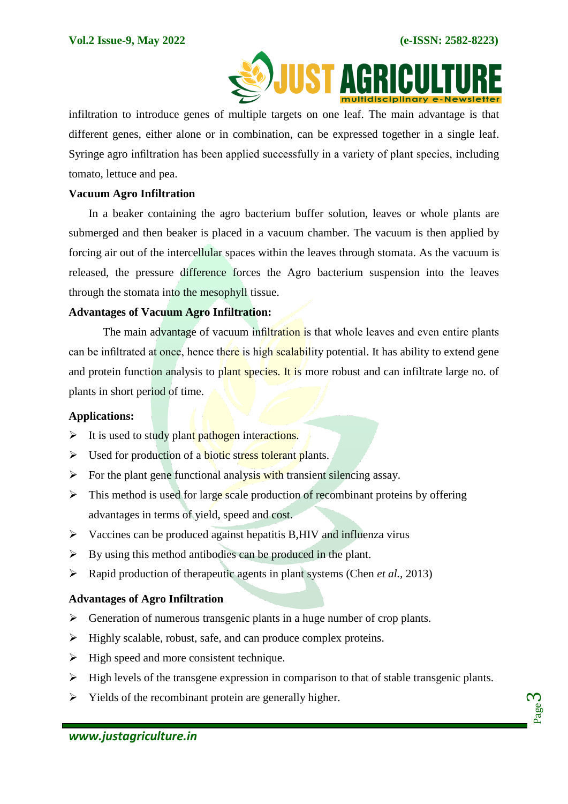

 infiltration to introduce genes of multiple targets on one leaf. The main advantage is that different genes, either alone or in combination, can be expressed together in a single leaf. Syringe agro infiltration has been applied successfully in a variety of plant species, including tomato, lettuce and pea.

#### **Vacuum Agro Infiltration**

In a beaker containing the agro bacterium buffer solution, leaves or whole plants are submerged and then beaker is placed in a vacuum chamber. The vacuum is then applied by forcing air out of the intercellular spaces within the leaves through stomata. As the vacuum is released, the pressure difference forces the Agro bacterium suspension into the leaves through the stomata into the mesophyll tissue.

#### **Advantages of Vacuum Agro Infiltration:**

The main advantage of vacuum infiltration is that whole leaves and even entire plants can be infiltrated at once, hence there is high scalability potential. It has ability to extend gene and protein function analysis to plant species. It is more robust and can infiltrate large no. of plants in short period of time.

#### **Applications:**

- $\triangleright$  It is used to study plant pathogen interactions.
- $\triangleright$  Used for production of a biotic stress tolerant plants.
- $\triangleright$  For the plant gene functional analysis with transient silencing assay.
- $\triangleright$  This method is used for large scale production of recombinant proteins by offering advantages in terms of yield, speed and cost.
- $\triangleright$  Vaccines can be produced against hepatitis B, HIV and influenza virus
- $\triangleright$  By using this method antibodies can be produced in the plant.
- Rapid production of therapeutic agents in plant systems (Chen *et al.,* 2013)

# **Advantages of Agro Infiltration**

- $\triangleright$  Generation of numerous transgenic plants in a huge number of crop plants.
- $\triangleright$  Highly scalable, robust, safe, and can produce complex proteins.
- $\triangleright$  High speed and more consistent technique.
- $\triangleright$  High levels of the transgene expression in comparison to that of stable transgenic plants.
- $\triangleright$  Yields of the recombinant protein are generally higher.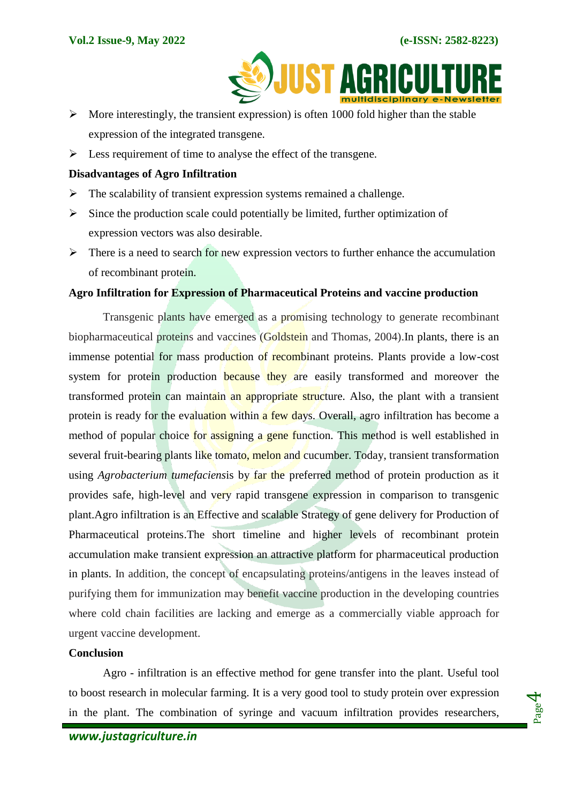

- $\triangleright$  More interestingly, the transient expression) is often 1000 fold higher than the stable expression of the integrated transgene.
- $\triangleright$  Less requirement of time to analyse the effect of the transgene.

#### **Disadvantages of Agro Infiltration**

- $\triangleright$  The scalability of transient expression systems remained a challenge.
- $\triangleright$  Since the production scale could potentially be limited, further optimization of expression vectors was also desirable.
- $\triangleright$  There is a need to search for new expression vectors to further enhance the accumulation of recombinant protein.

#### **Agro Infiltration for Expression of Pharmaceutical Proteins and vaccine production**

Transgenic plants have emerged as a promising technology to generate recombinant biopharmaceutical proteins and vaccines (Goldstein and Thomas, 2004). In plants, there is an immense potential for mass production of recombinant proteins. Plants provide a low-cost system for protein production because they are easily transformed and moreover the transformed protein can maintain an appropriate structure. Also, the plant with a transient protein is ready for the evaluation within a few days. Overall, agro infiltration has become a method of popular choice for assigning a gene function. This method is well established in several fruit-bearing plants like tomato, melon and cucumber. Today, transient transformation using *Agrobacterium tumefaciens*is by far the preferred method of protein production as it provides safe, high-level and very rapid transgene expression in comparison to transgenic plant.Agro infiltration is an Effective and scalable Strategy of gene delivery for Production of Pharmaceutical proteins.The short timeline and higher levels of recombinant protein accumulation make transient expression an attractive platform for pharmaceutical production in plants. In addition, the concept of encapsulating proteins/antigens in the leaves instead of purifying them for immunization may benefit vaccine production in the developing countries where cold chain facilities are lacking and emerge as a commercially viable approach for urgent vaccine development.

## **Conclusion**

Agro - infiltration is an effective method for gene transfer into the plant. Useful tool to boost research in molecular farming. It is a very good tool to study protein over expression in the plant. The combination of syringe and vacuum infiltration provides researchers,